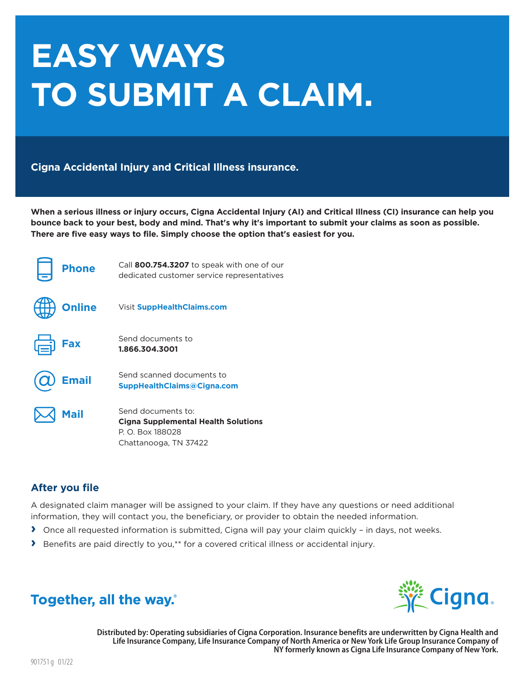# **EASY WAYS** TO SUBMIT A CLAIM.

**Cigna Accidental Injury and Critical Illness insurance.** 

When a serious illness or injury occurs, Cigna Accidental Injury (AI) and Critical Illness (CI) insurance can help you bounce back to your best, body and mind. That's why it's important to submit your claims as soon as possible. There are five easy ways to file. Simply choose the option that's easiest for you.

| <b>Phone</b>  | Call 800.754.3207 to speak with one of our<br>dedicated customer service representatives                      |
|---------------|---------------------------------------------------------------------------------------------------------------|
| <b>Online</b> | <b>Visit SuppHealthClaims.com</b>                                                                             |
| Fax           | Send documents to<br>1.866.304.3001                                                                           |
| <b>Email</b>  | Send scanned documents to<br><b>SuppHealthClaims@Cigna.com</b>                                                |
| <b>Mail</b>   | Send documents to:<br><b>Cigna Supplemental Health Solutions</b><br>P. O. Box 188028<br>Chattanooga, TN 37422 |

### **After you file**

A designated claim manager will be assigned to your claim. If they have any questions or need additional information, they will contact you, the beneficiary, or provider to obtain the needed information.

- > Once all requested information is submitted, Cigna will pay your claim quickly in days, not weeks.
- > Benefits are paid directly to you,\*\* for a covered critical illness or accidental injury.





Distributed by: Operating subsidiaries of Cigna Corporation. Insurance benefits are underwritten by Cigna Health and Life Insurance Company, Life Insurance Company of North America or New York Life Group Insurance Company of NY formerly known as Cigna Life Insurance Company of New York.